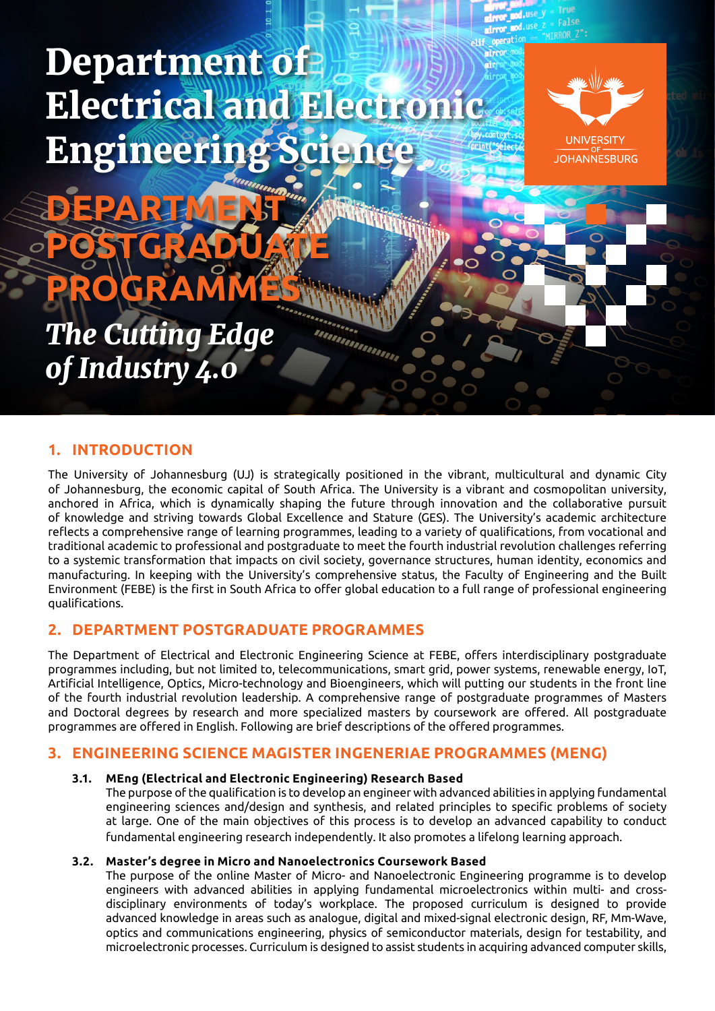# Department of Electrical and Electronic Engineering



*The Cutting Edge of Industry 4.0*

**DEPARTMENT** 

**POSTGRADUATE** 

**PROGRAMMES** 

## **1. INTRODUCTION**

The University of Johannesburg (UJ) is strategically positioned in the vibrant, multicultural and dynamic City of Johannesburg, the economic capital of South Africa. The University is a vibrant and cosmopolitan university, anchored in Africa, which is dynamically shaping the future through innovation and the collaborative pursuit of knowledge and striving towards Global Excellence and Stature (GES). The University's academic architecture reflects a comprehensive range of learning programmes, leading to a variety of qualifications, from vocational and traditional academic to professional and postgraduate to meet the fourth industrial revolution challenges referring to a systemic transformation that impacts on civil society, governance structures, human identity, economics and manufacturing. In keeping with the University's comprehensive status, the Faculty of Engineering and the Built Environment (FEBE) is the first in South Africa to offer global education to a full range of professional engineering qualifications.

**MARIANORIA** 

### **2. DEPARTMENT POSTGRADUATE PROGRAMMES**

The Department of Electrical and Electronic Engineering Science at FEBE, offers interdisciplinary postgraduate programmes including, but not limited to, telecommunications, smart grid, power systems, renewable energy, IoT, Artificial Intelligence, Optics, Micro-technology and Bioengineers, which will putting our students in the front line of the fourth industrial revolution leadership. A comprehensive range of postgraduate programmes of Masters and Doctoral degrees by research and more specialized masters by coursework are offered. All postgraduate programmes are offered in English. Following are brief descriptions of the offered programmes.

### **3. ENGINEERING SCIENCE MAGISTER INGENERIAE PROGRAMMES (MENG)**

#### **3.1. MEng (Electrical and Electronic Engineering) Research Based**

The purpose of the qualification is to develop an engineer with advanced abilities in applying fundamental engineering sciences and/design and synthesis, and related principles to specific problems of society at large. One of the main objectives of this process is to develop an advanced capability to conduct fundamental engineering research independently. It also promotes a lifelong learning approach.

#### **3.2. Master's degree in Micro and Nanoelectronics Coursework Based**

The purpose of the online Master of Micro- and Nanoelectronic Engineering programme is to develop engineers with advanced abilities in applying fundamental microelectronics within multi- and crossdisciplinary environments of today's workplace. The proposed curriculum is designed to provide advanced knowledge in areas such as analogue, digital and mixed-signal electronic design, RF, Mm-Wave, optics and communications engineering, physics of semiconductor materials, design for testability, and microelectronic processes. Curriculum is designed to assist students in acquiring advanced computer skills,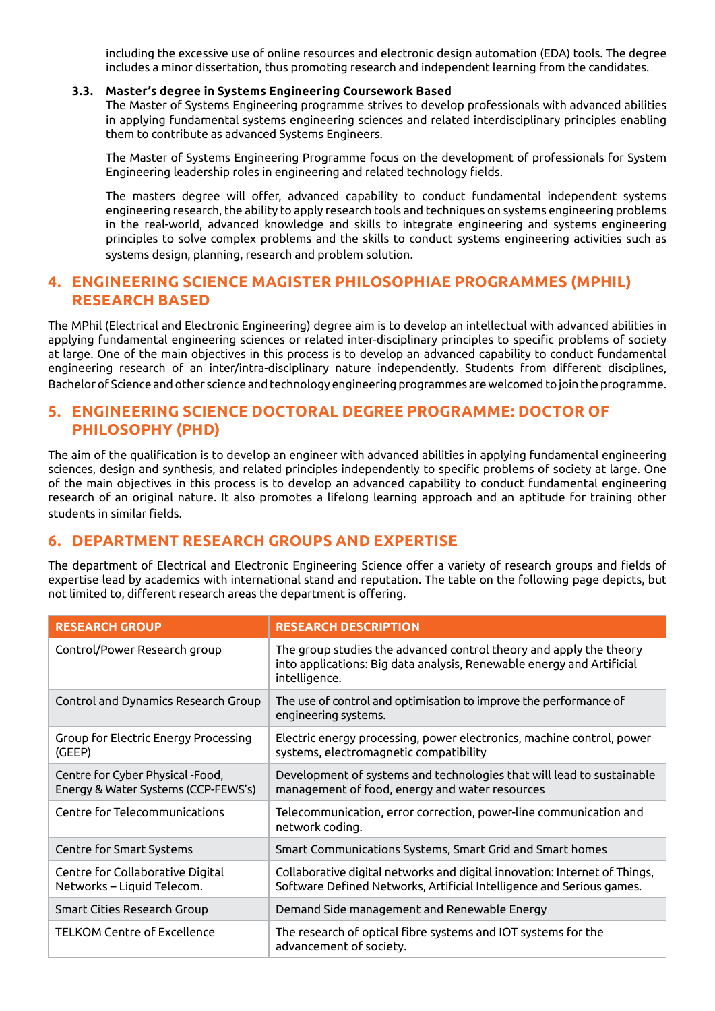including the excessive use of online resources and electronic design automation (EDA) tools. The degree includes a minor dissertation, thus promoting research and independent learning from the candidates.

#### **3.3. Master's degree in Systems Engineering Coursework Based**

The Master of Systems Engineering programme strives to develop professionals with advanced abilities in applying fundamental systems engineering sciences and related interdisciplinary principles enabling them to contribute as advanced Systems Engineers.

The Master of Systems Engineering Programme focus on the development of professionals for System Engineering leadership roles in engineering and related technology fields.

The masters degree will offer, advanced capability to conduct fundamental independent systems engineering research, the ability to apply research tools and techniques on systems engineering problems in the real-world, advanced knowledge and skills to integrate engineering and systems engineering principles to solve complex problems and the skills to conduct systems engineering activities such as systems design, planning, research and problem solution.

#### **4. ENGINEERING SCIENCE MAGISTER PHILOSOPHIAE PROGRAMMES (MPHIL) RESEARCH BASED**

The MPhil (Electrical and Electronic Engineering) degree aim is to develop an intellectual with advanced abilities in applying fundamental engineering sciences or related inter-disciplinary principles to specific problems of society at large. One of the main objectives in this process is to develop an advanced capability to conduct fundamental engineering research of an inter/intra-disciplinary nature independently. Students from different disciplines, Bachelor of Science and other science and technology engineering programmes are welcomed to join the programme.

### **5. ENGINEERING SCIENCE DOCTORAL DEGREE PROGRAMME: DOCTOR OF PHILOSOPHY (PHD)**

The aim of the qualification is to develop an engineer with advanced abilities in applying fundamental engineering sciences, design and synthesis, and related principles independently to specific problems of society at large. One of the main objectives in this process is to develop an advanced capability to conduct fundamental engineering research of an original nature. It also promotes a lifelong learning approach and an aptitude for training other students in similar fields.

#### **6. DEPARTMENT RESEARCH GROUPS AND EXPERTISE**

The department of Electrical and Electronic Engineering Science offer a variety of research groups and fields of expertise lead by academics with international stand and reputation. The table on the following page depicts, but not limited to, different research areas the department is offering.

| <b>RESEARCH GROUP</b>                                                   | <b>RESEARCH DESCRIPTION</b>                                                                                                                                  |
|-------------------------------------------------------------------------|--------------------------------------------------------------------------------------------------------------------------------------------------------------|
| Control/Power Research group                                            | The group studies the advanced control theory and apply the theory<br>into applications: Big data analysis, Renewable energy and Artificial<br>intelligence. |
| Control and Dynamics Research Group                                     | The use of control and optimisation to improve the performance of<br>engineering systems.                                                                    |
| Group for Electric Energy Processing<br>(GEEP)                          | Electric energy processing, power electronics, machine control, power<br>systems, electromagnetic compatibility                                              |
| Centre for Cyber Physical -Food,<br>Energy & Water Systems (CCP-FEWS's) | Development of systems and technologies that will lead to sustainable<br>management of food, energy and water resources                                      |
| Centre for Telecommunications                                           | Telecommunication, error correction, power-line communication and<br>network coding.                                                                         |
| <b>Centre for Smart Systems</b>                                         | Smart Communications Systems, Smart Grid and Smart homes                                                                                                     |
| Centre for Collaborative Digital<br>Networks - Liquid Telecom.          | Collaborative digital networks and digital innovation: Internet of Things,<br>Software Defined Networks, Artificial Intelligence and Serious games.          |
| Smart Cities Research Group                                             | Demand Side management and Renewable Energy                                                                                                                  |
| <b>TELKOM Centre of Excellence</b>                                      | The research of optical fibre systems and IOT systems for the<br>advancement of society.                                                                     |